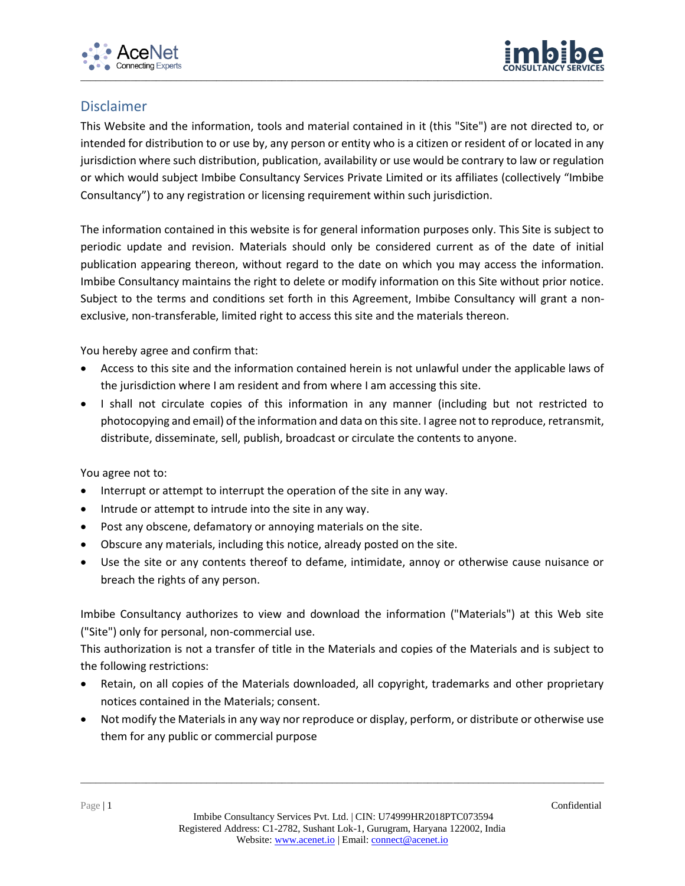



## Disclaimer

This Website and the information, tools and material contained in it (this "Site") are not directed to, or intended for distribution to or use by, any person or entity who is a citizen or resident of or located in any jurisdiction where such distribution, publication, availability or use would be contrary to law or regulation or which would subject Imbibe Consultancy Services Private Limited or its affiliates (collectively "Imbibe Consultancy") to any registration or licensing requirement within such jurisdiction.

The information contained in this website is for general information purposes only. This Site is subject to periodic update and revision. Materials should only be considered current as of the date of initial publication appearing thereon, without regard to the date on which you may access the information. Imbibe Consultancy maintains the right to delete or modify information on this Site without prior notice. Subject to the terms and conditions set forth in this Agreement, Imbibe Consultancy will grant a nonexclusive, non-transferable, limited right to access this site and the materials thereon.

You hereby agree and confirm that:

- Access to this site and the information contained herein is not unlawful under the applicable laws of the jurisdiction where I am resident and from where I am accessing this site.
- I shall not circulate copies of this information in any manner (including but not restricted to photocopying and email) of the information and data on this site. I agree not to reproduce, retransmit, distribute, disseminate, sell, publish, broadcast or circulate the contents to anyone.

You agree not to:

- Interrupt or attempt to interrupt the operation of the site in any way.
- Intrude or attempt to intrude into the site in any way.
- Post any obscene, defamatory or annoying materials on the site.
- Obscure any materials, including this notice, already posted on the site.
- Use the site or any contents thereof to defame, intimidate, annoy or otherwise cause nuisance or breach the rights of any person.

Imbibe Consultancy authorizes to view and download the information ("Materials") at this Web site ("Site") only for personal, non-commercial use.

This authorization is not a transfer of title in the Materials and copies of the Materials and is subject to the following restrictions:

- Retain, on all copies of the Materials downloaded, all copyright, trademarks and other proprietary notices contained in the Materials; consent.
- Not modify the Materials in any way nor reproduce or display, perform, or distribute or otherwise use them for any public or commercial purpose

\_\_\_\_\_\_\_\_\_\_\_\_\_\_\_\_\_\_\_\_\_\_\_\_\_\_\_\_\_\_\_\_\_\_\_\_\_\_\_\_\_\_\_\_\_\_\_\_\_\_\_\_\_\_\_\_\_\_\_\_\_\_\_\_\_\_\_\_\_\_\_\_\_\_\_\_\_\_\_\_\_\_\_\_\_\_\_\_\_\_\_\_\_\_\_\_\_\_\_\_\_\_\_\_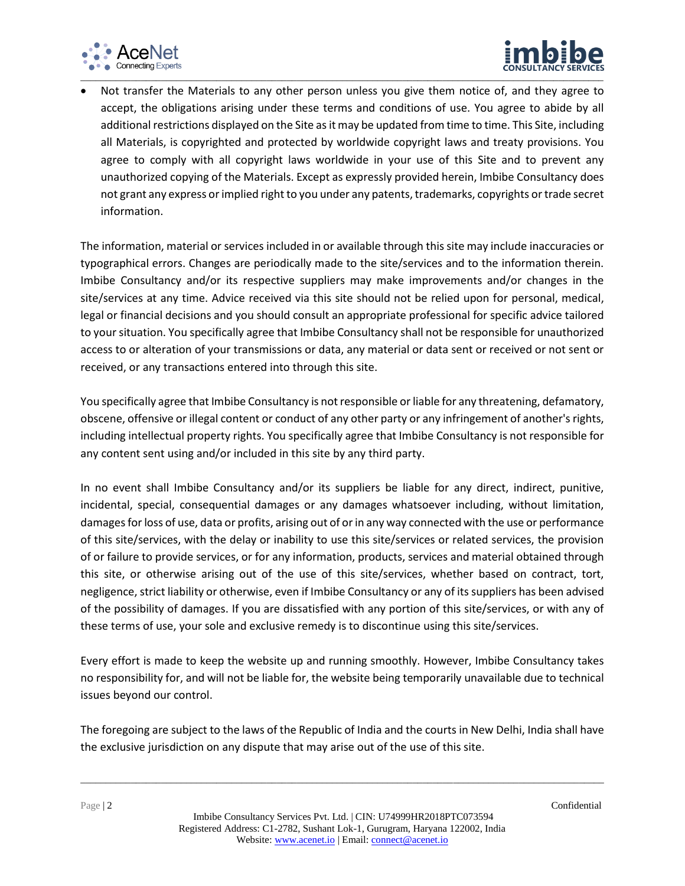



 Not transfer the Materials to any other person unless you give them notice of, and they agree to accept, the obligations arising under these terms and conditions of use. You agree to abide by all additional restrictions displayed on the Site as it may be updated from time to time. This Site, including all Materials, is copyrighted and protected by worldwide copyright laws and treaty provisions. You agree to comply with all copyright laws worldwide in your use of this Site and to prevent any unauthorized copying of the Materials. Except as expressly provided herein, Imbibe Consultancy does not grant any express or implied right to you under any patents, trademarks, copyrights or trade secret information.

The information, material or services included in or available through this site may include inaccuracies or typographical errors. Changes are periodically made to the site/services and to the information therein. Imbibe Consultancy and/or its respective suppliers may make improvements and/or changes in the site/services at any time. Advice received via this site should not be relied upon for personal, medical, legal or financial decisions and you should consult an appropriate professional for specific advice tailored to your situation. You specifically agree that Imbibe Consultancy shall not be responsible for unauthorized access to or alteration of your transmissions or data, any material or data sent or received or not sent or received, or any transactions entered into through this site.

You specifically agree that Imbibe Consultancy is not responsible or liable for any threatening, defamatory, obscene, offensive or illegal content or conduct of any other party or any infringement of another's rights, including intellectual property rights. You specifically agree that Imbibe Consultancy is not responsible for any content sent using and/or included in this site by any third party.

In no event shall Imbibe Consultancy and/or its suppliers be liable for any direct, indirect, punitive, incidental, special, consequential damages or any damages whatsoever including, without limitation, damages for loss of use, data or profits, arising out of or in any way connected with the use or performance of this site/services, with the delay or inability to use this site/services or related services, the provision of or failure to provide services, or for any information, products, services and material obtained through this site, or otherwise arising out of the use of this site/services, whether based on contract, tort, negligence, strict liability or otherwise, even if Imbibe Consultancy or any of its suppliers has been advised of the possibility of damages. If you are dissatisfied with any portion of this site/services, or with any of these terms of use, your sole and exclusive remedy is to discontinue using this site/services.

Every effort is made to keep the website up and running smoothly. However, Imbibe Consultancy takes no responsibility for, and will not be liable for, the website being temporarily unavailable due to technical issues beyond our control.

The foregoing are subject to the laws of the Republic of India and the courts in New Delhi, India shall have the exclusive jurisdiction on any dispute that may arise out of the use of this site.

\_\_\_\_\_\_\_\_\_\_\_\_\_\_\_\_\_\_\_\_\_\_\_\_\_\_\_\_\_\_\_\_\_\_\_\_\_\_\_\_\_\_\_\_\_\_\_\_\_\_\_\_\_\_\_\_\_\_\_\_\_\_\_\_\_\_\_\_\_\_\_\_\_\_\_\_\_\_\_\_\_\_\_\_\_\_\_\_\_\_\_\_\_\_\_\_\_\_\_\_\_\_\_\_